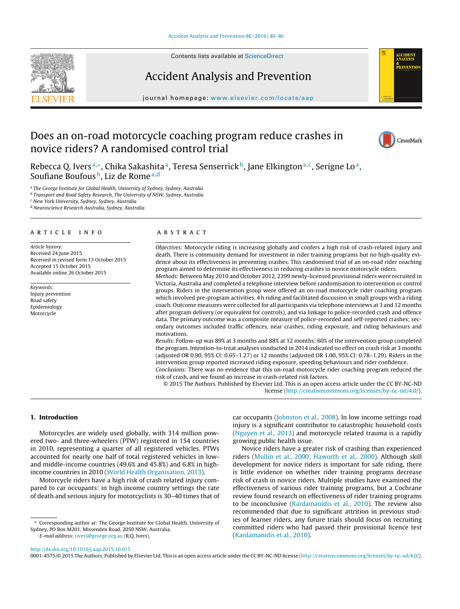

# Accident Analysis and Prevention

Contents lists available at [ScienceDirect](http://www.sciencedirect.com/science/journal/00014575)

jour nal home page: [www.elsevier.com/locate/aap](http://www.elsevier.com/locate/aap)

# Does an on-road motorcycle coaching program reduce crashes in novice riders? A randomised control trial



Rebecca Q. Ivers<sup>a,\*</sup>, Chika Sakashita<sup>a</sup>, Teresa Senserrick<sup>b</sup>, Jane Elkington<sup>a,c</sup>, Serigne Lo<sup>a</sup>, Soufiane Boufous<sup>b</sup>, Liz de Rome<sup>a,d</sup>

a The George Institute for Global Health, University of Sydney, Sydney, Australia

**b Transport and Road Safety Research, The University of NSW, Sydney, Australia** 

<sup>c</sup> New York University, Sydney, Sydney, Australia

<sup>d</sup> Neuroscience Research Australia, Sydney, Australia

#### a r t i c l e i n f o

Article history: Received 24 June 2015 Received in revised form 13 October 2015 Accepted 15 October 2015 Available online 26 October 2015

Keywords: Injury prevention Road safety Epidemiology Motorcycle

### A B S T R A C T

Objectives: Motorcycle riding is increasing globally and confers a high risk of crash-related injury and death. There is community demand for investment in rider training programs but no high-quality evidence about its effectiveness in preventing crashes. This randomised trial of an on-road rider coaching program aimed to determine its effectiveness in reducing crashes in novice motorcycle riders.

Methods: Between May 2010 and October 2012, 2399 newly-licensed provisional riders were recruited in Victoria, Australia and completed a telephone interview before randomisation to intervention or control groups. Riders in the intervention group were offered an on-road motorcycle rider coaching program which involved pre-program activities, 4 h riding and facilitated discussion in small groups with a riding coach. Outcome measures were collected for all participants via telephone interviews at 3 and 12 months after program delivery (or equivalent for controls), and via linkage to police-recorded crash and offence data. The primary outcome was a composite measure of police-recorded and self-reported crashes; secondary outcomes included traffic offences, near crashes, riding exposure, and riding behaviours and motivations.

Results: Follow-up was 89% at 3 months and 88% at 12 months; 60% of the intervention group completed the program. Intention-to-treat analyses conducted in 2014 indicated no effect on crash risk at 3 months (adjusted OR 0.90, 95% CI: 0.65–1.27) or 12 months (adjusted OR 1.00, 95% CI: 0.78–1.29). Riders in the intervention group reported increased riding exposure, speeding behaviours and rider confidence.

Conclusions: There was no evidence that this on-road motorcycle rider coaching program reduced the risk of crash, and we found an increase in crash-related risk factors.

© 2015 The Authors. Published by Elsevier Ltd. This is an open access article under the CC BY-NC-ND license [\(http://creativecommons.org/licenses/by-nc-nd/4.0/](http://creativecommons.org/licenses/by-nc-nd/4.0/)).

## **1. Introduction**

Motorcycles are widely used globally, with 314 million powered two- and three-wheelers (PTW) registered in 154 countries in 2010, representing a quarter of all registered vehicles. PTWs accounted for nearly one half of total registered vehicles in lowand middle-income countries (49.6% and 45.8%) and 6.8% in highincome countries in 2010 ([World](#page-6-0) [Health](#page-6-0) [Organisation,](#page-6-0) [2013\).](#page-6-0)

Motorcycle riders have a high risk of crash related injury compared to car occupants: in high income country settings the rate of death and serious injury for motorcyclists is 30–40 times that of car occupants ([Johnston](#page-6-0) et [al.,](#page-6-0) [2008\).](#page-6-0) In low income settings road injury is a significant contributor to catastrophic household costs [\(Nguyen](#page-6-0) et [al.,](#page-6-0) [2013\)](#page-6-0) and motorcycle related trauma is a rapidly growing public health issue.

Novice riders have a greater risk of crashing than experienced riders [\(Mullin](#page-6-0) et [al.,](#page-6-0) [2000;](#page-6-0) [Haworth](#page-6-0) et [al.,](#page-6-0) [2000\).](#page-6-0) Although skill development for novice riders is important for safe riding, there is little evidence on whether rider training programs decrease risk of crash in novice riders. Multiple studies have examined the effectiveness of various rider training programs, but a Cochrane review found research on effectiveness of rider training programs to be inconclusive [\(Kardamanidis](#page-6-0) et [al.,](#page-6-0) [2010\).](#page-6-0) The review also recommended that due to significant attrition in previous studies of learner riders, any future trials should focus on recruiting committed riders who had passed their provisional licence test [\(Kardamanidis](#page-6-0) et [al.,](#page-6-0) [2010\).](#page-6-0)

0001-4575/© 2015 The Authors. Published by Elsevier Ltd. This is an open access article under the CC BY-NC-ND license [\(http://creativecommons.org/licenses/by-nc-nd/4.0/\)](http://creativecommons.org/licenses/by-nc-nd/4.0/).

<sup>∗</sup> Corresponding author at: The George Institute for Global Health, University of Sydney, PO Box M201, Missenden Road, 2050 NSW, Australia. E-mail address: [rivers@george.org.au](mailto:rivers@george.org.au) (R.Q. Ivers).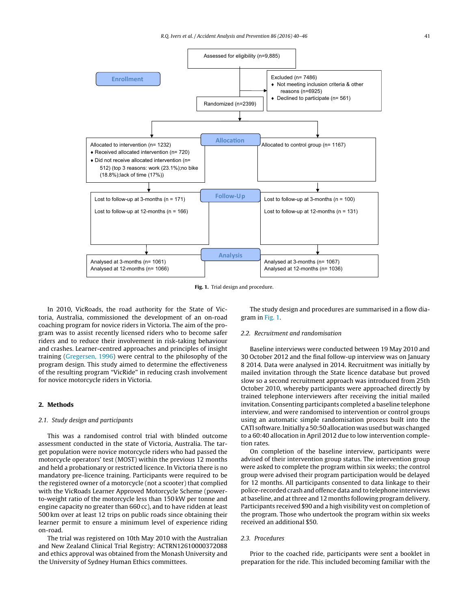

**Fig. 1.** Trial design and procedure.

In 2010, VicRoads, the road authority for the State of Victoria, Australia, commissioned the development of an on-road coaching program for novice riders in Victoria. The aim of the program was to assist recently licensed riders who to become safer riders and to reduce their involvement in risk-taking behaviour and crashes. Learner-centred approaches and principles of insight training [\(Gregersen,](#page-6-0) [1996\)](#page-6-0) were central to the philosophy of the program design. This study aimed to determine the effectiveness of the resulting program "VicRide" in reducing crash involvement for novice motorcycle riders in Victoria.

# **2. Methods**

# 2.1. Study design and participants

This was a randomised control trial with blinded outcome assessment conducted in the state of Victoria, Australia. The target population were novice motorcycle riders who had passed the motorcycle operators' test (MOST) within the previous 12 months and held a probationary or restricted licence. In Victoria there is no mandatory pre-licence training. Participants were required to be the registered owner of a motorcycle (not a scooter) that complied with the VicRoads Learner Approved Motorcycle Scheme (powerto-weight ratio of the motorcycle less than 150 kW per tonne and engine capacity no greater than 660 cc), and to have ridden at least 500 km over at least 12 trips on public roads since obtaining their learner permit to ensure a minimum level of experience riding on-road.

The trial was registered on 10th May 2010 with the Australian and New Zealand Clinical Trial Registry: ACTRN12610000372088 and ethics approval was obtained from the Monash University and the University of Sydney Human Ethics committees.

The study design and procedures are summarised in a flow diagram in Fig. 1.

#### 2.2. Recruitment and randomisation

Baseline interviews were conducted between 19 May 2010 and 30 October 2012 and the final follow-up interview was on January 8 2014. Data were analysed in 2014. Recruitment was initially by mailed invitation through the State licence database but proved slow so a second recruitment approach was introduced from 25th October 2010, whereby participants were approached directly by trained telephone interviewers after receiving the initial mailed invitation. Consenting participants completed a baseline telephone interview, and were randomised to intervention or control groups using an automatic simple randomisation process built into the CATI software. Initially a 50:50 allocation was used but was changed to a 60:40 allocation in April 2012 due to low intervention completion rates.

On completion of the baseline interview, participants were advised of their intervention group status. The intervention group were asked to complete the program within six weeks; the control group were advised their program participation would be delayed for 12 months. All participants consented to data linkage to their police-recorded crash and offence data and to telephone interviews at baseline, and atthree and 12 months following program delivery. Participants received \$90 and a high visibility vest on completion of the program. Those who undertook the program within six weeks received an additional \$50.

#### 2.3. Procedures

Prior to the coached ride, participants were sent a booklet in preparation for the ride. This included becoming familiar with the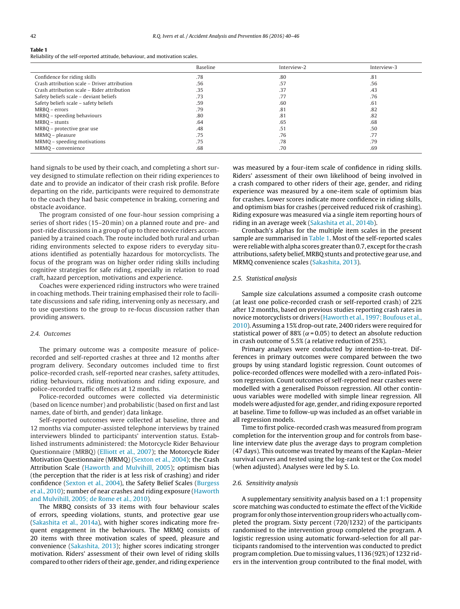Reliability of the self-reported attitude, behaviour, and motivation scales.

|                                              | Baseline | Interview-2 | Interview-3 |
|----------------------------------------------|----------|-------------|-------------|
| Confidence for riding skills                 | .78      | .80         | .81         |
| Crash attribution scale – Driver attribution | .56      | .57         | .56         |
| Crash attribution scale – Rider attribution  | .35      | .37         | .43         |
| Safety beliefs scale - deviant beliefs       | .73      | .77         | .76         |
| Safety beliefs scale - safety beliefs        | .59      | .60         | .61         |
| MRBQ - errors                                | .79      | .81         | .82         |
| MRBQ - speeding behaviours                   | .80      | .81         | .82         |
| MRBQ – stunts                                | .64      | .65         | .68         |
| MRBQ - protective gear use                   | .48      | .51         | .50         |
| MRMQ – pleasure                              | .75      | .76         | .77         |
| MRMQ – speeding motivations                  | .75      | .78         | .79         |
| MRMQ - convenience                           | .68      | .70         | .69         |

hand signals to be used by their coach, and completing a short survey designed to stimulate reflection on their riding experiences to date and to provide an indicator of their crash risk profile. Before departing on the ride, participants were required to demonstrate to the coach they had basic competence in braking, cornering and obstacle avoidance.

The program consisted of one four-hour session comprising a series of short rides (15–20 min) on a planned route and pre- and post-ride discussions in a group of up to three novice riders accompanied by a trained coach. The route included both rural and urban riding environments selected to expose riders to everyday situations identified as potentially hazardous for motorcyclists. The focus of the program was on higher order riding skills including cognitive strategies for safe riding, especially in relation to road craft, hazard perception, motivations and experience.

Coaches were experienced riding instructors who were trained in coaching methods. Their training emphasised their role to facilitate discussions and safe riding, intervening only as necessary, and to use questions to the group to re-focus discussion rather than providing answers.

#### 2.4. Outcomes

The primary outcome was a composite measure of policerecorded and self-reported crashes at three and 12 months after program delivery. Secondary outcomes included time to first police-recorded crash, self-reported near crashes, safety attitudes, riding behaviours, riding motivations and riding exposure, and police-recorded traffic offences at 12 months.

Police-recorded outcomes were collected via deterministic (based on licence number) and probabilistic (based on first and last names, date of birth, and gender) data linkage.

Self-reported outcomes were collected at baseline, three and 12 months via computer-assisted telephone interviews by trained interviewers blinded to participants' intervention status. Established instruments administered: the Motorcycle Rider Behaviour Questionnaire (MRBQ) [\(Elliott](#page-6-0) et [al.,](#page-6-0) [2007\);](#page-6-0) the Motorcycle Rider Motivation Questionnaire (MRMQ) ([Sexton](#page-6-0) et [al.,](#page-6-0) [2004\);](#page-6-0) the Crash Attribution Scale [\(Haworth](#page-6-0) [and](#page-6-0) [Mulvihill,](#page-6-0) [2005\);](#page-6-0) optimism bias (the perception that the rider is at less risk of crashing) and rider confidence [\(Sexton](#page-6-0) et [al.,](#page-6-0) [2004\),](#page-6-0) the Safety Belief Scales ([Burgess](#page-6-0) et [al.,](#page-6-0) [2010\);](#page-6-0) number of near crashes and riding exposure ([Haworth](#page-6-0) [and](#page-6-0) [Mulvihill,](#page-6-0) [2005;](#page-6-0) [de](#page-6-0) [Rome](#page-6-0) et [al.,](#page-6-0) [2010\).](#page-6-0)

The MRBQ consists of 33 items with four behaviour scales of errors, speeding violations, stunts, and protective gear use ([Sakashita](#page-6-0) et [al.,](#page-6-0) [2014a\),](#page-6-0) with higher scores indicating more frequent engagement in the behaviours. The MRMQ consists of 20 items with three motivation scales of speed, pleasure and convenience ([Sakashita,](#page-6-0) [2013\);](#page-6-0) higher scores indicating stronger motivation. Riders' assessment of their own level of riding skills compared to other riders oftheir age, gender, and riding experience

was measured by a four-item scale of confidence in riding skills. Riders' assessment of their own likelihood of being involved in a crash compared to other riders of their age, gender, and riding experience was measured by a one-item scale of optimism bias for crashes. Lower scores indicate more confidence in riding skills, and optimism bias for crashes (perceived reduced risk of crashing). Riding exposure was measured via a single item reporting hours of riding in an average week ([Sakashita](#page-6-0) et [al.,](#page-6-0) [2014b\).](#page-6-0)

Cronbach's alphas for the multiple item scales in the present sample are summarised in Table 1. Most of the self-reported scales were reliable with alpha scores greater than 0.7, except for the crash attributions, safety belief, MRBQ stunts and protective gear use, and MRMQ convenience scales [\(Sakashita,](#page-6-0) [2013\).](#page-6-0)

## 2.5. Statistical analysis

Sample size calculations assumed a composite crash outcome (at least one police-recorded crash or self-reported crash) of 22% after 12 months, based on previous studies reporting crash rates in novice motorcyclists or drivers ([Haworth](#page-6-0) et [al.,](#page-6-0) [1997;](#page-6-0) [Boufous](#page-6-0) et [al.,](#page-6-0) [2010\).](#page-6-0) Assuming a 15% drop-out rate, 2400 riders were required for statistical power of 88% ( $\alpha$  = 0.05) to detect an absolute reduction in crash outcome of 5.5% (a relative reduction of 25%).

Primary analyses were conducted by intention-to-treat. Differences in primary outcomes were compared between the two groups by using standard logistic regression. Count outcomes of police-recorded offences were modelled with a zero-inflated Poisson regression. Count outcomes of self-reported near crashes were modelled with a generalised Poisson regression. All other continuous variables were modelled with simple linear regression. All models were adjusted for age, gender, and riding exposure reported at baseline. Time to follow-up was included as an offset variable in all regression models.

Time to first police-recorded crash was measured from program completion for the intervention group and for controls from baseline interview date plus the average days to program completion (47 days). This outcome was treated by means of the Kaplan–Meier survival curves and tested using the log-rank test or the Cox model (when adjusted). Analyses were led by S. Lo.

# 2.6. Sensitivity analysis

A supplementary sensitivity analysis based on a 1:1 propensity score matching was conducted to estimate the effect of the VicRide program for only those intervention group riders who actually completed the program. Sixty percent (720/1232) of the participants randomised to the intervention group completed the program. A logistic regression using automatic forward-selection for all participants randomised to the intervention was conducted to predict program completion. Due to missing values, 1136 (92%) of 1232 riders in the intervention group contributed to the final model, with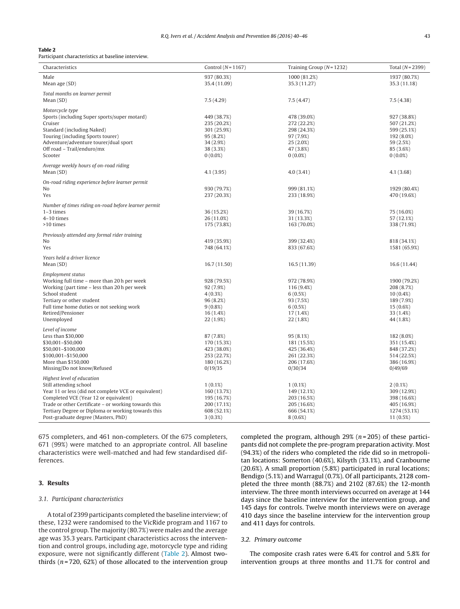#### **Table 2**

Participant characteristics at baseline interview.

| Characteristics                                                                               | Control ( $N = 1167$ )     | Training Group ( $N = 1232$ ) | Total $(N=2399)$            |
|-----------------------------------------------------------------------------------------------|----------------------------|-------------------------------|-----------------------------|
| Male                                                                                          | 937 (80.3%)                | 1000 (81.2%)                  | 1937 (80.7%)                |
| Mean age (SD)                                                                                 | 35.4 (11.09)               | 35.3 (11.27)                  | 35.3 (11.18)                |
| Total months on learner permit                                                                |                            |                               |                             |
| Mean (SD)                                                                                     | 7.5(4.29)                  | 7.5(4.47)                     | 7.5(4.38)                   |
| Motorcycle type                                                                               |                            |                               |                             |
| Sports (including Super sports/super motard)                                                  | 449 (38.7%)                | 478 (39.0%)                   | 927 (38.8%)                 |
| Cruiser                                                                                       | 235 (20.2%)                | 272 (22.2%)                   | 507 (21.2%)                 |
| Standard (including Naked)                                                                    | 301 (25.9%)                | 298 (24.3%)                   | 599 (25.1%)                 |
| Touring (including Sports tourer)                                                             | 95 (8.2%)                  | 97 (7.9%)                     | 192 (8.0%)                  |
| Adventure/adventure tourer/dual sport                                                         | 34 (2.9%)                  | 25(2.0%)                      | 59 (2.5%)                   |
| Off road - Trail/enduro/mx<br>Scooter                                                         | 38 (3.3%)                  | 47 (3.8%)                     | 85 (3.6%)<br>$0(0.0\%)$     |
|                                                                                               | $0(0.0\%)$                 | $0(0.0\%)$                    |                             |
| Average weekly hours of on-road riding                                                        |                            |                               |                             |
| Mean (SD)                                                                                     | 4.1(3.95)                  | 4.0(3.41)                     | 4.1(3.68)                   |
| On-road riding experience before learner permit                                               |                            |                               |                             |
| N <sub>o</sub>                                                                                | 930 (79.7%)                | 999 (81.1%)                   | 1929 (80.4%)                |
| Yes                                                                                           | 237 (20.3%)                | 233 (18.9%)                   | 470 (19.6%)                 |
| Number of times riding on-road before learner permit                                          |                            |                               |                             |
| $1-3$ times                                                                                   | 36 (15.2%)                 | 39 (16.7%)                    | 75 (16.0%)                  |
| 4-10 times                                                                                    | 26 (11.0%)                 | 31 (13.3%)                    | 57 (12.1%)                  |
| >10 times                                                                                     | 175 (73.8%)                | 163 (70.0%)                   | 338 (71.9%)                 |
| Previously attended any formal rider training                                                 |                            |                               |                             |
| N <sub>o</sub>                                                                                | 419 (35.9%)                | 399 (32.4%)                   | 818 (34.1%)                 |
| Yes                                                                                           | 748 (64.1%)                | 833 (67.6%)                   | 1581 (65.9%)                |
| Years held a driver licence                                                                   |                            |                               |                             |
| Mean (SD)                                                                                     | 16.7(11.50)                | 16.5 (11.39)                  | 16.6 (11.44)                |
| <b>Employment status</b>                                                                      |                            |                               |                             |
| Working full time - more than 20 h per week                                                   | 928 (79.5%)                | 972 (78.9%)                   | 1900 (79.2%)                |
| Working (part time - less than 20 h per week                                                  | 92 (7.9%)                  | 116 (9.4%)                    | 208 (8.7%)                  |
| School student                                                                                | $4(0.3\%)$                 | 6(0.5%)                       | $10(0.4\%)$                 |
| Tertiary or other student<br>Full time home duties or not seeking work                        | 96 (8.2%)<br>$9(0.8\%)$    | 93 (7.5%)<br>6(0.5%)          | 189 (7.9%)<br>15(0.6%)      |
| Retired/Pensioner                                                                             | 16(1.4%)                   | 17 (1.4%)                     | 33 (1.4%)                   |
| Unemployed                                                                                    | 22(1.9%)                   | 22 (1.8%)                     | 44 (1.8%)                   |
| Level of income                                                                               |                            |                               |                             |
| Less than \$30,000                                                                            | 87 (7.8%)                  | 95(8.1%)                      | 182 (8.0%)                  |
| \$30,001-\$50,000                                                                             | 170 (15.3%)                | 181 (15.5%)                   | 351 (15.4%)                 |
| \$50,001-\$100,000                                                                            | 423 (38.0%)                | 425 (36.4%)                   | 848 (37.2%)                 |
| \$100,001-\$150,000                                                                           | 253 (22.7%)                | 261 (22.3%)                   | 514 (22.5%)                 |
| More than \$150,000                                                                           | 180 (16.2%)                | 206 (17.6%)                   | 386 (16.9%)                 |
| Missing/Do not know/Refused                                                                   | 0/19/35                    | 0/30/34                       | 0/49/69                     |
| Highest level of education                                                                    |                            |                               |                             |
| Still attending school                                                                        | $1(0.1\%)$                 | $1(0.1\%)$                    | $2(0.1\%)$                  |
| Year 11 or less (did not complete VCE or equivalent)                                          | 160 (13.7%)                | 149 (12.1%)                   | 309 (12.9%)                 |
| Completed VCE (Year 12 or equivalent)<br>Trade or other Certificate - or working towards this | 195 (16.7%)                | 203 (16.5%)                   | 398 (16.6%)                 |
| Tertiary Degree or Diploma or working towards this                                            | 200 (17.1%)<br>608 (52.1%) | 205 (16.6%)<br>666 (54.1%)    | 405 (16.9%)<br>1274 (53.1%) |
| Post-graduate degree (Masters, PhD)                                                           | $3(0.3\%)$                 | 8(0.6%)                       | 11(0.5%)                    |
|                                                                                               |                            |                               |                             |

675 completers, and 461 non-completers. Of the 675 completers, 671 (99%) were matched to an appropriate control. All baseline characteristics were well-matched and had few standardised differences.

# **3. Results**

## 3.1. Participant characteristics

A total of 2399 participants completed the baseline interview; of these, 1232 were randomised to the VicRide program and 1167 to the control group. The majority (80.7%) were males and the average age was 35.3 years. Participant characteristics across the intervention and control groups, including age, motorcycle type and riding exposure, were not significantly different (Table 2). Almost twothirds ( $n = 720, 62\%)$  of those allocated to the intervention group

completed the program, although  $29\%$  ( $n = 205$ ) of these participants did not complete the pre-program preparation activity. Most (94.3%) of the riders who completed the ride did so in metropolitan locations: Somerton (40.6%), Kilsyth (33.1%), and Cranbourne (20.6%). A small proportion (5.8%) participated in rural locations; Bendigo (5.1%) and Warragul (0.7%). Of all participants, 2128 completed the three month (88.7%) and 2102 (87.6%) the 12-month interview. The three month interviews occurred on average at 144 days since the baseline interview for the intervention group, and 145 days for controls. Twelve month interviews were on average 410 days since the baseline interview for the intervention group and 411 days for controls.

# 3.2. Primary outcome

The composite crash rates were 6.4% for control and 5.8% for intervention groups at three months and 11.7% for control and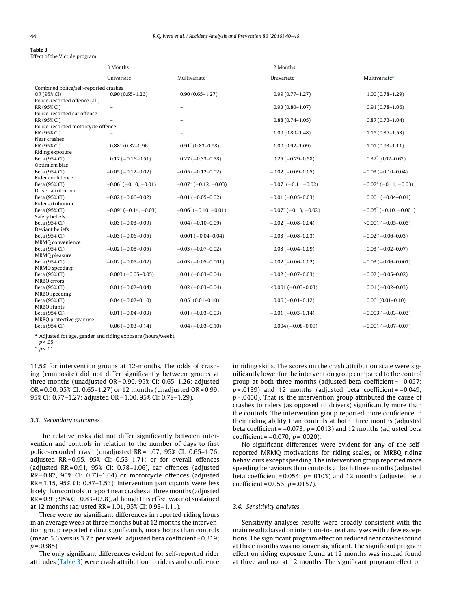#### **Table 3** Effect of the Vicride program.

|                                       | 3 Months                                   |                                            | 12 Months                           |                                            |
|---------------------------------------|--------------------------------------------|--------------------------------------------|-------------------------------------|--------------------------------------------|
|                                       | Univariate                                 | Multivariate <sup>a</sup>                  | Univariate                          | Multivariate <sup>a</sup>                  |
| Combined police/self-reported crashes |                                            |                                            |                                     |                                            |
| OR (95% CI)                           | $0.90(0.65 - 1.26)$                        | $0.90(0.65 - 1.27)$                        | $0.99(0.77 - 1.27)$                 | $1.00(0.78 - 1.29)$                        |
| Police-recorded offence (all)         |                                            |                                            |                                     |                                            |
| RR (95% CI)                           | $\overline{\phantom{0}}$                   |                                            | $0.93(0.80 - 1.07)$                 | $0.91(0.78 - 1.06)$                        |
| Police-recorded car offence           |                                            |                                            |                                     |                                            |
| RR (95% CI)                           |                                            |                                            | $0.88(0.74 - 1.05)$                 | $0.87(0.73 - 1.04)$                        |
| Police-recorded motorcycle offence    |                                            |                                            |                                     |                                            |
| RR (95% CI)                           |                                            |                                            | $1.09(0.80 - 1.48)$                 | $1.15(0.87 - 1.53)$                        |
| Near crashes                          |                                            |                                            |                                     |                                            |
| RR (95% CI)                           | $0.88^{+}$ (0.82-0.96)                     | $0.91$ (0.83-0.98)                         | $1.00(0.92 - 1.09)$                 | $1.01(0.93 - 1.11)$                        |
| Riding exposure<br>Beta (95% CI)      | $0.17(-0.16 - 0.51)$                       | $0.27(-0.33 - 0.58)$                       | $0.25(-0.79-0.58)$                  | $0.32$ (0.02-0.62)                         |
| Optimism bias                         |                                            |                                            |                                     |                                            |
| Beta (95% CI)                         | $-0.05(-0.12-0.02)$                        | $-0.05(-0.12-0.02)$                        | $-0.02$ ( $-0.09$ $-0.05$ )         | $-0.03(-0.10-0.04)$                        |
| Rider confidence                      |                                            |                                            |                                     |                                            |
| Beta (95% CI)                         | $-0.06$ ( $-0.10$ , $-0.01$ )              | $-0.07$ <sup>+</sup> ( $-0.12$ , $-0.03$ ) | $-0.07$ ( $-0.11$ , $-0.02$ )       | $-0.07$ <sup>+</sup> ( $-0.11$ , $-0.03$ ) |
| Driver attribution                    |                                            |                                            |                                     |                                            |
| Beta (95% CI)                         | $-0.02$ ( $-0.06 - 0.02$ )                 | $-0.01(-0.05-0.02)$                        | $-0.01(-0.05-0.03)$                 | $0.001 (-0.04 - 0.04)$                     |
| Rider attribution                     |                                            |                                            |                                     |                                            |
| Beta (95% CI)                         | $-0.09$ <sup>+</sup> ( $-0.14$ , $-0.03$ ) | $-0.06$ ( $-0.10, -0.01$ )                 | $-0.07$ <sup>+</sup> (-0.13, -0.02) | $-0.05$ ( $-0.10, -0.001$ )                |
| Safety beliefs                        |                                            |                                            |                                     |                                            |
| Beta (95% CI)                         | $0.03 (-0.03 - 0.09)$                      | $0.04 (-0.10 - 0.09)$                      | $-0.02$ ( $-0.08$ $-0.04$ )         | $<0.001(-0.05-0.05)$                       |
| Deviant beliefs                       |                                            |                                            |                                     |                                            |
| Beta (95% CI)                         | $-0.03(-0.06-0.05)$                        | $0.001 (-0.04 - 0.04)$                     | $-0.03(-0.08-0.03)$                 | $-0.02$ ( $-0.06 - 0.03$ )                 |
| MRMQ convenience                      |                                            |                                            |                                     |                                            |
| Beta (95% CI)<br>MRMQ pleasure        | $-0.02$ ( $-0.08$ $-0.05$ )                | $-0.03(-0.07-0.02)$                        | $0.03(-0.04-0.09)$                  | $0.03(-0.02 - 0.07)$                       |
| Beta (95% CI)                         | $-0.02$ ( $-0.05-0.02$ )                   | $-0.03(-0.05-0.001)$                       | $-0.02$ ( $-0.06 - 0.02$ )          | $-0.03(-0.06-0.001)$                       |
| MRMQ speeding                         |                                            |                                            |                                     |                                            |
| Beta (95% CI)                         | $0.003 (-0.05 - 0.05)$                     | $0.01 (-0.03 - 0.04)$                      | $-0.02$ ( $-0.07$ $-0.03$ )         | $-0.02$ ( $-0.05-0.02$ )                   |
| MRBO errors                           |                                            |                                            |                                     |                                            |
| Beta (95% CI)                         | $0.01 (-0.02 - 0.04)$                      | $0.02 (-0.03 - 0.04)$                      | $<0.001(-0.03-0.03)$                | $0.01 (-0.02 - 0.03)$                      |
| MRBQ speeding                         |                                            |                                            |                                     |                                            |
| Beta (95% CI)                         | $0.04 (-0.02 - 0.10)$                      | $0.05$ (0.01-0.10)                         | $0.06(-0.01-0.12)$                  | $0.06$ (0.01-0.10)                         |
| MRBO stunts                           |                                            |                                            |                                     |                                            |
| Beta (95% CI)                         | $0.01 (-0.04 - 0.03)$                      | $0.01 (-0.03 - 0.03)$                      | $-0.01(-0.03-0.14)$                 | $-0.003(-0.03-0.03)$                       |
| MRBQ protective gear use              |                                            |                                            |                                     |                                            |
| Beta (95% CI)                         | $0.06(-0.03-0.14)$                         | $0.04 (-0.03 - 0.10)$                      | $0.004 (-0.08 - 0.09)$              | $-0.001(-0.07-0.07)$                       |

a Adjusted for age, gender and riding exposure (hours/week).

 $p < 0.05$ .

 $+ p < .01$ .

11.5% for intervention groups at 12-months. The odds of crashing (composite) did not differ significantly between groups at three months (unadjusted OR = 0.90, 95% CI: 0.65–1.26; adjusted OR = 0.90, 95% CI: 0.65–1.27) or 12 months (unadjusted OR = 0.99; 95% CI: 0.77–1.27; adjusted OR = 1.00, 95% CI: 0.78–1.29).

#### 3.3. Secondary outcomes

The relative risks did not differ significantly between intervention and controls in relation to the number of days to first police-recorded crash (unadjusted RR = 1.07; 95% CI: 0.65–1.76; adjusted RR = 0.95, 95% CI: 0.53–1.71) or for overall offences (adjusted RR = 0.91, 95% CI: 0.78–1.06), car offences (adjusted RR = 0.87, 95% CI: 0.73–1.04) or motorcycle offences (adjusted RR = 1.15, 95% CI: 0.87–1.53). Intervention participants were less likely than controls to report near crashes at three months (adjusted RR = 0.91; 95% CI: 0.83–0.98), although this effect was not sustained at 12 months (adjusted RR = 1.01, 95% CI: 0.93–1.11).

There were no significant differences in reported riding hours in an average week at three months but at 12 months the intervention group reported riding significantly more hours than controls (mean 5.6 versus 3.7 h per week; adjusted beta coefficient = 0.319;  $p = .0385$ ).

The only significant differences evident for self-reported rider attitudes (Table 3) were crash attribution to riders and confidence

in riding skills. The scores on the crash attribution scale were significantly lower for the intervention group compared to the control group at both three months (adjusted beta coefficient =  $-0.057$ ;  $p = .0139$ ) and 12 months (adjusted beta coefficient =  $-0.049$ ;  $p = .0450$ ). That is, the intervention group attributed the cause of crashes to riders (as opposed to drivers) significantly more than the controls. The intervention group reported more confidence in their riding ability than controls at both three months (adjusted beta coefficient =  $-0.073$ ; p = .0013) and 12 months (adjusted beta coefficient =  $-0.070$ ;  $p = .0020$ ).

No significant differences were evident for any of the selfreported MRMQ motivations for riding scales, or MRBQ riding behaviours except speeding. The intervention group reported more speeding behaviours than controls at both three months (adjusted beta coefficient =  $0.054$ ;  $p = .0103$ ) and 12 months (adjusted beta coefficient =  $0.056$ ;  $p = .0157$ ).

## 3.4. Sensitivity analyses

Sensitivity analyses results were broadly consistent with the main results based on intention-to-treat analyses with a few exceptions. The significant program effect on reduced near crashes found at three months was no longer significant. The significant program effect on riding exposure found at 12 months was instead found at three and not at 12 months. The significant program effect on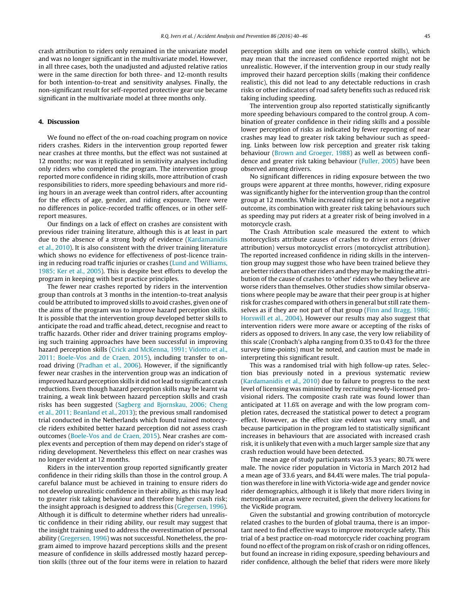crash attribution to riders only remained in the univariate model and was no longer significant in the multivariate model. However, in all three cases, both the unadjusted and adjusted relative ratios were in the same direction for both three- and 12-month results for both intention-to-treat and sensitivity analyses. Finally, the non-significant result for self-reported protective gear use became significant in the multivariate model at three months only.

## **4. Discussion**

We found no effect of the on-road coaching program on novice riders crashes. Riders in the intervention group reported fewer near crashes at three months, but the effect was not sustained at 12 months; nor was it replicated in sensitivity analyses including only riders who completed the program. The intervention group reported more confidence in riding skills, more attribution of crash responsibilities to riders, more speeding behaviours and more riding hours in an average week than control riders, after accounting for the effects of age, gender, and riding exposure. There were no differences in police-recorded traffic offences, or in other selfreport measures.

Our findings on a lack of effect on crashes are consistent with previous rider training literature, although this is at least in part due to the absence of a strong body of evidence [\(Kardamanidis](#page-6-0) et [al.,](#page-6-0) [2010\).](#page-6-0) It is also consistent with the driver training literature which shows no evidence for effectiveness of post-licence training in reducing road traffic injuries or crashes ([Lund](#page-6-0) [and](#page-6-0) [Williams,](#page-6-0) [1985;](#page-6-0) [Ker](#page-6-0) et [al.,](#page-6-0) [2005\).](#page-6-0) This is despite best efforts to develop the program in keeping with best practice principles.

The fewer near crashes reported by riders in the intervention group than controls at 3 months in the intention-to-treat analysis could be attributed to improved skills to avoid crashes, given one of the aims of the program was to improve hazard perception skills. It is possible that the intervention group developed better skills to anticipate the road and traffic ahead, detect, recognise and react to traffic hazards. Other rider and driver training programs employing such training approaches have been successful in improving hazard perception skills ([Crick](#page-6-0) [and](#page-6-0) [McKenna,](#page-6-0) [1991;](#page-6-0) [Vidotto](#page-6-0) et [al.,](#page-6-0) [2011;](#page-6-0) [Boele-Vos](#page-6-0) [and](#page-6-0) [de](#page-6-0) [Craen,](#page-6-0) [2015\),](#page-6-0) including transfer to onroad driving ([Pradhan](#page-6-0) et [al.,](#page-6-0) [2006\).](#page-6-0) However, if the significantly fewer near crashes in the intervention group was an indication of improved hazard perception skills it did not lead to significant crash reductions. Even though hazard perception skills may be learnt via training, a weak link between hazard perception skills and crash risks has been suggested ([Sagberg](#page-6-0) [and](#page-6-0) [Bjornskau,](#page-6-0) [2006;](#page-6-0) [Cheng](#page-6-0) et [al.,](#page-6-0) [2011;](#page-6-0) [Beanland](#page-6-0) et [al.,](#page-6-0) [2013\);](#page-6-0) the previous small randomised trial conducted in the Netherlands which found trained motorcycle riders exhibited better hazard perception did not assess crash outcomes ([Boele-Vos](#page-6-0) [and](#page-6-0) [de](#page-6-0) [Craen,](#page-6-0) [2015\).](#page-6-0) Near crashes are complex events and perception of them may depend on rider's stage of riding development. Nevertheless this effect on near crashes was no longer evident at 12 months.

Riders in the intervention group reported significantly greater confidence in their riding skills than those in the control group. A careful balance must be achieved in training to ensure riders do not develop unrealistic confidence in their ability, as this may lead to greater risk taking behaviour and therefore higher crash risk; the insight approach is designed to address this [\(Gregersen,](#page-6-0) [1996\).](#page-6-0) Although it is difficult to determine whether riders had unrealistic confidence in their riding ability, our result may suggest that the insight training used to address the overestimation of personal ability ([Gregersen,](#page-6-0) [1996\)](#page-6-0) was not successful. Nonetheless, the program aimed to improve hazard perceptions skills and the present measure of confidence in skills addressed mostly hazard perception skills (three out of the four items were in relation to hazard

perception skills and one item on vehicle control skills), which may mean that the increased confidence reported might not be unrealistic. However, if the intervention group in our study really improved their hazard perception skills (making their confidence realistic), this did not lead to any detectable reductions in crash risks or other indicators of road safety benefits such as reduced risk taking including speeding.

The intervention group also reported statistically significantly more speeding behaviours compared to the control group. A combination of greater confidence in their riding skills and a possible lower perception of risks as indicated by fewer reporting of near crashes may lead to greater risk taking behaviour such as speeding. Links between low risk perception and greater risk taking behaviour ([Brown](#page-6-0) [and](#page-6-0) [Groeger,](#page-6-0) [1988\)](#page-6-0) as well as between confidence and greater risk taking behaviour ([Fuller,](#page-6-0) [2005\)](#page-6-0) have been observed among drivers.

No significant differences in riding exposure between the two groups were apparent at three months, however, riding exposure was significantly higher for the intervention group than the control group at 12 months. While increased riding per se is not a negative outcome, its combination with greater risk taking behaviours such as speeding may put riders at a greater risk of being involved in a motorcycle crash.

The Crash Attribution scale measured the extent to which motorcyclists attribute causes of crashes to driver errors (driver attribution) versus motorcyclist errors (motorcyclist attribution). The reported increased confidence in riding skills in the intervention group may suggest those who have been trained believe they are better riders than other riders and they may be making the attribution of the cause of crashes to 'other' riders who they believe are worse riders than themselves. Other studies show similar observations where people may be aware that their peer group is at higher risk for crashes compared with others in general but still rate themselves as if they are not part of that group ([Finn](#page-6-0) [and](#page-6-0) [Bragg,](#page-6-0) [1986;](#page-6-0) [Horswill](#page-6-0) et [al.,](#page-6-0) [2004\).](#page-6-0) However our results may also suggest that intervention riders were more aware or accepting of the risks of riders as opposed to drivers. In any case, the very low reliability of this scale (Cronbach's alpha ranging from 0.35 to 0.43 for the three survey time-points) must be noted, and caution must be made in interpreting this significant result.

This was a randomised trial with high follow-up rates. Selection bias previously noted in a previous systematic review [\(Kardamanidis](#page-6-0) et [al.,](#page-6-0) [2010\)](#page-6-0) due to failure to progress to the next level of licensing was minimised by recruiting newly-licensed provisional riders. The composite crash rate was found lower than anticipated at 11.6% on average and with the low program completion rates, decreased the statistical power to detect a program effect. However, as the effect size evident was very small, and because participation in the program led to statistically significant increases in behaviours that are associated with increased crash risk, it is unlikely that even with a much larger sample size that any crash reduction would have been detected.

The mean age of study participants was 35.3 years; 80.7% were male. The novice rider population in Victoria in March 2012 had a mean age of 33.6 years, and 84.4% were males. The trial population was therefore in line with Victoria-wide age and gender novice rider demographics, although it is likely that more riders living in metropolitan areas were recruited, given the delivery locations for the VicRide program.

Given the substantial and growing contribution of motorcycle related crashes to the burden of global trauma, there is an important need to find effective ways to improve motorcycle safety. This trial of a best practice on-road motorcycle rider coaching program found no effect of the program on risk of crash or on riding offences, but found an increase in riding exposure, speeding behaviours and rider confidence, although the belief that riders were more likely